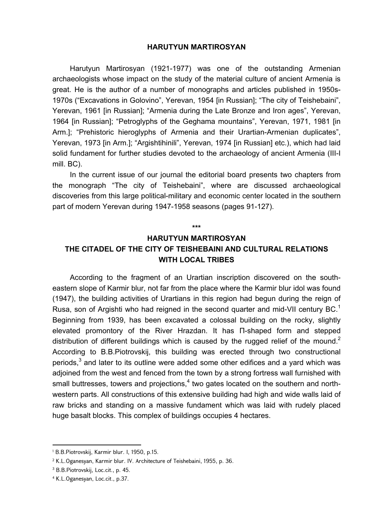## **HARUTYUN MARTIROSYAN**

Harutyun Martirosyan (1921-1977) was one of the outstanding Armenian archaeologists whose impact on the study of the material culture of ancient Armenia is great. He is the author of a number of monographs and articles published in 1950s-1970s ("Excavations in Golovino", Yerevan, 1954 [in Russian]; "The city of Teishebaini", Yerevan, 1961 [in Russian]; "Armenia during the Late Bronze and Iron ages", Yerevan, 1964 [in Russian]; "Petroglyphs of the Geghama mountains", Yerevan, 1971, 1981 [in Arm.]; "Prehistoric hieroglyphs of Armenia and their Urartian-Armenian duplicates", Yerevan, 1973 [in Arm.]; "Argishtihinili", Yerevan, 1974 [in Russian] etc.), which had laid solid fundament for further studies devoted to the archaeology of ancient Armenia (III-I mill. BC).

In the current issue of our journal the editorial board presents two chapters from the monograph "The city of Teishebaini", where are discussed archaeological discoveries from this large political-military and economic center located in the southern part of modern Yerevan during 1947-1958 seasons (pages 91-127).

## **HARUTYUN MARTIROSYAN THE CITADEL OF THE CITY OF TEISHEBAINI AND CULTURAL RELATIONS WITH LOCAL TRIBES**

**\*\*\*** 

According to the fragment of an Urartian inscription discovered on the southeastern slope of Karmir blur, not far from the place where the Karmir blur idol was found (1947), the building activities of Urartians in this region had begun during the reign of Rusa, son of Argishti who had reigned in the second quarter and mid-VII century BC.<sup>1</sup> Beginning from 1939, has been excavated a colossal building on the rocky, slightly elevated promontory of the River Hrazdan. It has П-shaped form and stepped distribution of different buildings which is caused by the rugged relief of the mound.<sup>2</sup> According to B.B.Piotrovskij, this building was erected through two constructional periods, $^3$  and later to its outline were added some other edifices and a yard which was adjoined from the west and fenced from the town by a strong fortress wall furnished with small buttresses, towers and projections, $^{\text{4}}$  two gates located on the southern and northwestern parts. All constructions of this extensive building had high and wide walls laid of raw bricks and standing on a massive fundament which was laid with rudely placed huge basalt blocks. This complex of buildings occupies 4 hectares.

<sup>1</sup> B.B.Piotrovskij, Karmir blur. I, 1950, p.15.

<sup>2</sup> K.L.Oganesyan, Karmir blur. IV. Architecture of Teishebaini, 1955, p. 36.

<sup>3</sup> B.B.Piotrovskij, Loc.cit., p. 45.

<sup>4</sup> K.L.Oganesyan, Loc.cit., p.37.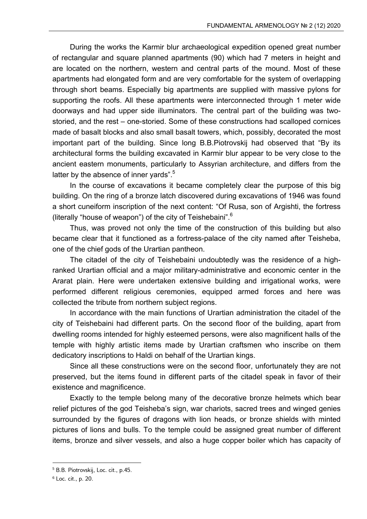During the works the Karmir blur archaeological expedition opened great number of rectangular and square planned apartments (90) which had 7 meters in height and are located on the northern, western and central parts of the mound. Most of these apartments had elongated form and are very comfortable for the system of overlapping through short beams. Especially big apartments are supplied with massive pylons for supporting the roofs. All these apartments were interconnected through 1 meter wide doorways and had upper side illuminators. The central part of the building was twostoried, and the rest – one-storied. Some of these constructions had scalloped cornices made of basalt blocks and also small basalt towers, which, possibly, decorated the most important part of the building. Since long B.B.Piotrovskij had observed that "By its architectural forms the building excavated in Karmir blur appear to be very close to the ancient eastern monuments, particularly to Assyrian architecture, and differs from the latter by the absence of inner yards".<sup>5</sup>

In the course of excavations it became completely clear the purpose of this big building. On the ring of a bronze latch discovered during excavations of 1946 was found a short cuneiform inscription of the next content: "Of Rusa, son of Argishti, the fortress (literally "house of weapon") of the city of Teishebaini".<sup>6</sup>

Thus, was proved not only the time of the construction of this building but also became clear that it functioned as a fortress-palace of the city named after Teisheba, one of the chief gods of the Urartian pantheon.

The citadel of the city of Teishebaini undoubtedly was the residence of a highranked Urartian official and a major military-administrative and economic center in the Ararat plain. Here were undertaken extensive building and irrigational works, were performed different religious ceremonies, equipped armed forces and here was collected the tribute from northern subject regions.

In accordance with the main functions of Urartian administration the citadel of the city of Teishebaini had different parts. On the second floor of the building, apart from dwelling rooms intended for highly esteemed persons, were also magnificent halls of the temple with highly artistic items made by Urartian craftsmen who inscribe on them dedicatory inscriptions to Haldi on behalf of the Urartian kings.

Since all these constructions were on the second floor, unfortunately they are not preserved, but the items found in different parts of the citadel speak in favor of their existence and magnificence.

Exactly to the temple belong many of the decorative bronze helmets which bear relief pictures of the god Teisheba's sign, war chariots, sacred trees and winged genies surrounded by the figures of dragons with lion heads, or bronze shields with minted pictures of lions and bulls. To the temple could be assigned great number of different items, bronze and silver vessels, and also a huge copper boiler which has capacity of

<sup>5</sup> B.B. Piotrovskij, Loc. cit., p.45.

<sup>6</sup> Loc. cit., p. 20.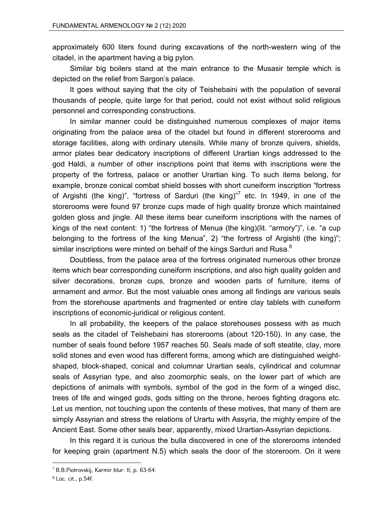approximately 600 liters found during excavations of the north-western wing of the citadel, in the apartment having a big pylon.

Similar big boilers stand at the main entrance to the Musasir temple which is depicted on the relief from Sargon's palace.

It goes without saying that the city of Teishebaini with the population of several thousands of people, quite large for that period, could not exist without solid religious personnel and corresponding constructions.

In similar manner could be distinguished numerous complexes of major items originating from the palace area of the citadel but found in different storerooms and storage facilities, along with ordinary utensils. While many of bronze quivers, shields, armor plates bear dedicatory inscriptions of different Urartian kings addressed to the god Haldi, a number of other inscriptions point that items with inscriptions were the property of the fortress, palace or another Urartian king. To such items belong, for example, bronze conical combat shield bosses with short cuneiform inscription "fortress of Argishti (the king)", "fortress of Sarduri (the king)"<sup>7</sup> etc. In 1949, in one of the storerooms were found 97 bronze cups made of high quality bronze which maintained golden gloss and jingle. All these items bear cuneiform inscriptions with the names of kings of the next content: 1) "the fortress of Menua (the king)(lit. "armory")", i.e. "a cup belonging to the fortress of the king Menua", 2) "the fortress of Argishti (the king)"; similar inscriptions were minted on behalf of the kings Sarduri and Rusa.<sup>8</sup>

Doubtless, from the palace area of the fortress originated numerous other bronze items which bear corresponding cuneiform inscriptions, and also high quality golden and silver decorations, bronze cups, bronze and wooden parts of furniture, items of armament and armor. But the most valuable ones among all findings are various seals from the storehouse apartments and fragmented or entire clay tablets with cuneiform inscriptions of economic-juridical or religious content.

In all probability, the keepers of the palace storehouses possess with as much seals as the citadel of Teishebaini has storerooms (about 120-150). In any case, the number of seals found before 1957 reaches 50. Seals made of soft steatite, clay, more solid stones and even wood has different forms, among which are distinguished weightshaped, block-shaped, conical and columnar Urartian seals, cylindrical and columnar seals of Assyrian type, and also zoomorphic seals, on the lower part of which are depictions of animals with symbols, symbol of the god in the form of a winged disc, trees of life and winged gods, gods sitting on the throne, heroes fighting dragons etc. Let us mention, not touching upon the contents of these motives, that many of them are simply Assyrian and stress the relations of Urartu with Assyria, the mighty empire of the Ancient East. Some other seals bear, apparently, mixed Urartian-Assyrian depictions.

In this regard it is curious the bulla discovered in one of the storerooms intended for keeping grain (apartment N.5) which seals the door of the storeroom. On it were

<sup>7</sup> B.B.Piotrovskij, Karmir blur. II, p. 63-64.

<sup>8</sup> Loc. cit., p.54f.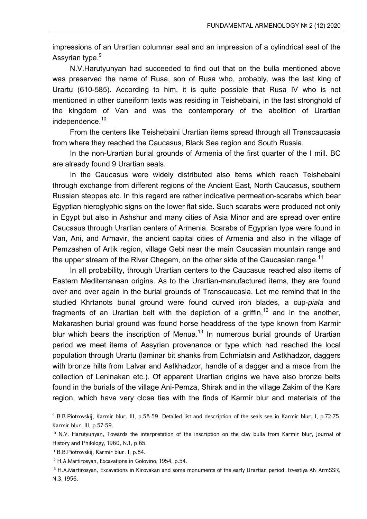impressions of an Urartian columnar seal and an impression of a cylindrical seal of the Assyrian type.<sup>9</sup>

N.V.Harutyunyan had succeeded to find out that on the bulla mentioned above was preserved the name of Rusa, son of Rusa who, probably, was the last king of Urartu (610-585). According to him, it is quite possible that Rusa IV who is not mentioned in other cuneiform texts was residing in Teishebaini, in the last stronghold of the kingdom of Van and was the contemporary of the abolition of Urartian independence.<sup>10</sup>

From the centers like Teishebaini Urartian items spread through all Transcaucasia from where they reached the Caucasus, Black Sea region and South Russia.

In the non-Urartian burial grounds of Armenia of the first quarter of the I mill. BC are already found 9 Urartian seals.

In the Caucasus were widely distributed also items which reach Teishebaini through exchange from different regions of the Ancient East, North Caucasus, southern Russian steppes etc. In this regard are rather indicative permeation-scarabs which bear Egyptian hieroglyphic signs on the lower flat side. Such scarabs were produced not only in Egypt but also in Ashshur and many cities of Asia Minor and are spread over entire Caucasus through Urartian centers of Armenia. Scarabs of Egyprian type were found in Van, Ani, and Armavir, the ancient capital cities of Armenia and also in the village of Pemzashen of Artik region, village Gebi near the main Caucasian mountain range and the upper stream of the River Chegem, on the other side of the Caucasian range.<sup>11</sup>

In all probability, through Urartian centers to the Caucasus reached also items of Eastern Mediterranean origins. As to the Urartian-manufactured items, they are found over and over again in the burial grounds of Transcaucasia. Let me remind that in the studied Khrtanots burial ground were found curved iron blades, a cup-*piala* and fragments of an Urartian belt with the depiction of a griffin,<sup>12</sup> and in the another, Makarashen burial ground was found horse headdress of the type known from Karmir blur which bears the inscription of Menua.<sup>13</sup> In numerous burial grounds of Urartian period we meet items of Assyrian provenance or type which had reached the local population through Urartu (laminar bit shanks from Echmiatsin and Astkhadzor, daggers with bronze hilts from Lalvar and Astkhadzor, handle of a dagger and a mace from the collection of Leninakan etc.). Of apparent Urartian origins we have also bronze belts found in the burials of the village Ani-Pemza, Shirak and in the village Zakim of the Kars region, which have very close ties with the finds of Karmir blur and materials of the

<sup>9</sup> B.B.Piotrovskij, Karmir blur. III, p.58-59. Detailed list and description of the seals see in Karmir blur. I, p.72-75, Karmir blur. III, p.57-59.

<sup>&</sup>lt;sup>10</sup> N.V. Harutyunyan, Towards the interpretation of the inscription on the clay bulla from Karmir blur, Journal of History and Philology, 1960, N.1, p.65.

<sup>11</sup> B.B.Piotrovskij, Karmir blur. I, p.84.

<sup>12</sup> H.A.Martirosyan, Excavations in Golovino, 1954, p.54.

<sup>&</sup>lt;sup>13</sup> H.A.Martirosyan, Excavations in Kirovakan and some monuments of the early Urartian period, Izvestiya AN ArmSSR, N.3, 1956.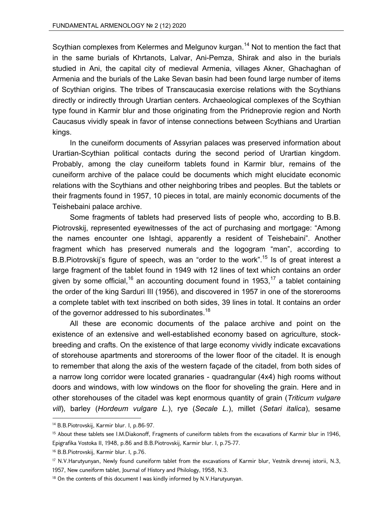Scythian complexes from Kelermes and Melgunov kurgan.<sup>14</sup> Not to mention the fact that in the same burials of Khrtanots, Lalvar, Ani-Pemza, Shirak and also in the burials studied in Ani, the capital city of medieval Armenia, villages Akner, Ghachaghan of Armenia and the burials of the Lake Sevan basin had been found large number of items of Scythian origins. The tribes of Transcaucasia exercise relations with the Scythians directly or indirectly through Urartian centers. Archaeological complexes of the Scythian type found in Karmir blur and those originating from the Pridneprovie region and North Caucasus vividly speak in favor of intense connections between Scythians and Urartian kings.

In the cuneiform documents of Assyrian palaces was preserved information about Urartian-Scythian political contacts during the second period of Urartian kingdom. Probably, among the clay cuneiform tablets found in Karmir blur, remains of the cuneiform archive of the palace could be documents which might elucidate economic relations with the Scythians and other neighboring tribes and peoples. But the tablets or their fragments found in 1957, 10 pieces in total, are mainly economic documents of the Teishebaini palace archive.

Some fragments of tablets had preserved lists of people who, according to B.B. Piotrovskij, represented eyewitnesses of the act of purchasing and mortgage: "Among the names encounter one Ishtagi, apparently a resident of Teishebaini". Another fragment which has preserved numerals and the logogram "man", according to B.B.Piotrovskij's figure of speech, was an "order to the work".<sup>15</sup> Is of great interest a large fragment of the tablet found in 1949 with 12 lines of text which contains an order given by some official,<sup>16</sup> an accounting document found in 1953,<sup>17</sup> a tablet containing the order of the king Sarduri III (1956), and discovered in 1957 in one of the storerooms a complete tablet with text inscribed on both sides, 39 lines in total. It contains an order of the governor addressed to his subordinates.<sup>18</sup>

All these are economic documents of the palace archive and point on the existence of an extensive and well-established economy based on agriculture, stockbreeding and crafts. On the existence of that large economy vividly indicate excavations of storehouse apartments and storerooms of the lower floor of the citadel. It is enough to remember that along the axis of the western façade of the citadel, from both sides of a narrow long corridor were located granaries - quadrangular (4x4) high rooms without doors and windows, with low windows on the floor for shoveling the grain. Here and in other storehouses of the citadel was kept enormous quantity of grain (*Triticum vulgare vill*), barley (*Hordeum vulgare L.*), rye (*Secale L.*), millet (*Setari italica*), sesame

<sup>14</sup> B.B.Piotrovskij, Karmir blur. I, p.86-97.

<sup>&</sup>lt;sup>15</sup> About these tablets see I.M.Diakonoff, Fragments of cuneiform tablets from the excavations of Karmir blur in 1946, Epigrafika Vostoka II, 1948, p.86 and B.B.Piotrovskij, Karmir blur. I, p.75-77.

<sup>16</sup> B.B.Piotrovskij, Karmir blur. I, p.76.

<sup>17</sup> N.V.Harutyunyan, Newly found cuneiform tablet from the excavations of Karmir blur, Vestnik drevnej istorii, N.3, 1957, New cuneiform tablet, Journal of History and Philology, 1958, N.3.

<sup>&</sup>lt;sup>18</sup> On the contents of this document I was kindly informed by N.V.Harutyunyan.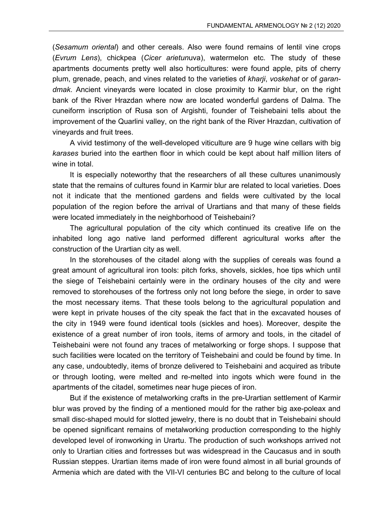(*Sesamum oriental*) and other cereals. Also were found remains of lentil vine crops (*Evrum Lens*), chickpea (*Cicer arietun*uva), watermelon etc. The study of these apartments documents pretty well also horticultures: were found apple, pits of cherry plum, grenade, peach, and vines related to the varieties of *kharji*, *voskehat* or of *garandmak*. Ancient vineyards were located in close proximity to Karmir blur, on the right bank of the River Hrazdan where now are located wonderful gardens of Dalma. The cuneiform inscription of Rusa son of Argishti, founder of Teishebaini tells about the improvement of the Quarlini valley, on the right bank of the River Hrazdan, cultivation of vineyards and fruit trees.

A vivid testimony of the well-developed viticulture are 9 huge wine cellars with big *karases* buried into the earthen floor in which could be kept about half million liters of wine in total.

It is especially noteworthy that the researchers of all these cultures unanimously state that the remains of cultures found in Karmir blur are related to local varieties. Does not it indicate that the mentioned gardens and fields were cultivated by the local population of the region before the arrival of Urartians and that many of these fields were located immediately in the neighborhood of Teishebaini?

The agricultural population of the city which continued its creative life on the inhabited long ago native land performed different agricultural works after the construction of the Urartian city as well.

In the storehouses of the citadel along with the supplies of cereals was found a great amount of agricultural iron tools: pitch forks, shovels, sickles, hoe tips which until the siege of Teishebaini certainly were in the ordinary houses of the city and were removed to storehouses of the fortress only not long before the siege, in order to save the most necessary items. That these tools belong to the agricultural population and were kept in private houses of the city speak the fact that in the excavated houses of the city in 1949 were found identical tools (sickles and hoes). Moreover, despite the existence of a great number of iron tools, items of armory and tools, in the citadel of Teishebaini were not found any traces of metalworking or forge shops. I suppose that such facilities were located on the territory of Teishebaini and could be found by time. In any case, undoubtedly, items of bronze delivered to Teishebaini and acquired as tribute or through looting, were melted and re-melted into ingots which were found in the apartments of the citadel, sometimes near huge pieces of iron.

But if the existence of metalworking crafts in the pre-Urartian settlement of Karmir blur was proved by the finding of a mentioned mould for the rather big axe-poleax and small disc-shaped mould for slotted jewelry, there is no doubt that in Teishebaini should be opened significant remains of metalworking production corresponding to the highly developed level of ironworking in Urartu. The production of such workshops arrived not only to Urartian cities and fortresses but was widespread in the Caucasus and in south Russian steppes. Urartian items made of iron were found almost in all burial grounds of Armenia which are dated with the VII-VI centuries BC and belong to the culture of local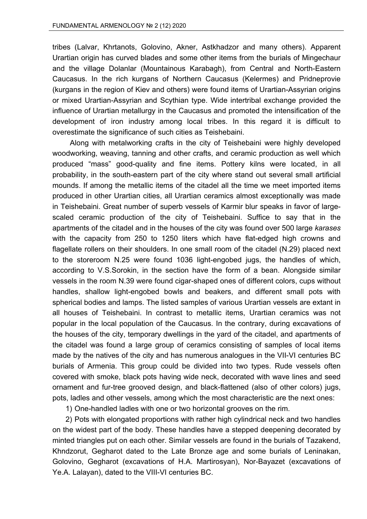tribes (Lalvar, Khrtanots, Golovino, Akner, Astkhadzor and many others). Apparent Urartian origin has curved blades and some other items from the burials of Mingechaur and the village Dolanlar (Mountainous Karabagh), from Central and North-Eastern Caucasus. In the rich kurgans of Northern Caucasus (Kelermes) and Pridneprovie (kurgans in the region of Kiev and others) were found items of Urartian-Assyrian origins or mixed Urartian-Assyrian and Scythian type. Wide intertribal exchange provided the influence of Urartian metallurgy in the Caucasus and promoted the intensification of the development of iron industry among local tribes. In this regard it is difficult to overestimate the significance of such cities as Teishebaini.

Along with metalworking crafts in the city of Teishebaini were highly developed woodworking, weaving, tanning and other crafts, and ceramic production as well which produced "mass" good-quality and fine items. Pottery kilns were located, in all probability, in the south-eastern part of the city where stand out several small artificial mounds. If among the metallic items of the citadel all the time we meet imported items produced in other Urartian cities, all Urartian ceramics almost exceptionally was made in Teishebaini. Great number of superb vessels of Karmir blur speaks in favor of largescaled ceramic production of the city of Teishebaini. Suffice to say that in the apartments of the citadel and in the houses of the city was found over 500 large *karases* with the capacity from 250 to 1250 liters which have flat-edged high crowns and flagellate rollers on their shoulders. In one small room of the citadel (N.29) placed next to the storeroom N.25 were found 1036 light-engobed jugs, the handles of which, according to V.S.Sorokin, in the section have the form of a bean. Alongside similar vessels in the room N.39 were found cigar-shaped ones of different colors, cups without handles, shallow light-engobed bowls and beakers, and different small pots with spherical bodies and lamps. The listed samples of various Urartian vessels are extant in all houses of Teishebaini. In contrast to metallic items, Urartian ceramics was not popular in the local population of the Caucasus. In the contrary, during excavations of the houses of the city, temporary dwellings in the yard of the citadel, and apartments of the citadel was found a large group of ceramics consisting of samples of local items made by the natives of the city and has numerous analogues in the VII-VI centuries BC burials of Armenia. This group could be divided into two types. Rude vessels often covered with smoke, black pots having wide neck, decorated with wave lines and seed ornament and fur-tree grooved design, and black-flattened (also of other colors) jugs, pots, ladles and other vessels, among which the most characteristic are the next ones:

1) One-handled ladles with one or two horizontal grooves on the rim.

2) Pots with elongated proportions with rather high cylindrical neck and two handles on the widest part of the body. These handles have a stepped deepening decorated by minted triangles put on each other. Similar vessels are found in the burials of Tazakend, Khndzorut, Gegharot dated to the Late Bronze age and some burials of Leninakan, Golovino, Gegharot (excavations of H.A. Martirosyan), Nor-Bayazet (excavations of Ye.A. Lalayan), dated to the VIII-VI centuries BC.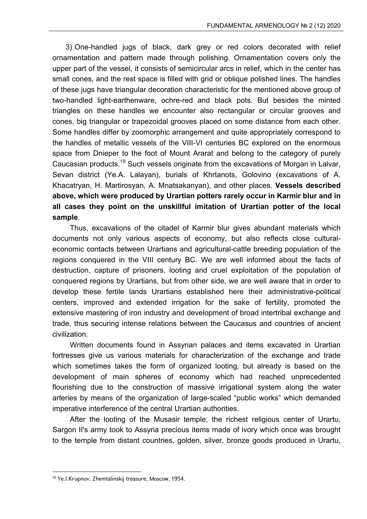3) One-handled jugs of black, dark grey or red colors decorated with relief ornamentation and pattern made through polishing. Ornamentation covers only the upper part of the vessel, it consists of semicircular arcs in relief, which in the center has small cones, and the rest space is filled with grid or oblique polished lines. The handles of these jugs have triangular decoration characteristic for the mentioned above group of two-handled light-earthenware, ochre-red and black pots. But besides the minted triangles on these handles we encounter also rectangular or circular grooves and cones, big triangular or trapezoidal grooves placed on some distance from each other. Some handles differ by zoomorphic arrangement and quite appropriately correspond to the handles of metallic vessels of the VIII-VI centuries BC explored on the enormous space from Dnieper to the foot of Mount Ararat and belong to the category of purely Caucasian products.<sup>19</sup> Such vessels originate from the excavations of Morgan in Lalvar, Sevan district (Ye.A. Lalayan), burials of Khrtanots, Golovino (excavations of A. Khacatryan, H. Martirosyan, A. Mnatsakanyan), and other places. **Vessels described above, which were produced by Urartian potters rarely occur in Karmir blur and in all cases they point on the unskillful imitation of Urartian potter of the local sample**.

Thus, excavations of the citadel of Karmir blur gives abundant materials which documents not only various aspects of economy, but also reflects close culturaleconomic contacts between Urartians and agricultural-cattle breeding population of the regions conquered in the VIII century BC. We are well informed about the facts of destruction, capture of prisoners, looting and cruel exploitation of the population of conquered regions by Urartians, but from other side, we are well aware that in order to develop these fertile lands Urartians established here their administrative-political centers, improved and extended irrigation for the sake of fertility, promoted the extensive mastering of iron industry and development of broad intertribal exchange and trade, thus securing intense relations between the Caucasus and countries of ancient civilization.

Written documents found in Assyrian palaces and items excavated in Urartian fortresses give us various materials for characterization of the exchange and trade which sometimes takes the form of organized looting, but already is based on the development of main spheres of economy which had reached unprecedented flourishing due to the construction of massive irrigational system along the water arteries by means of the organization of large-scaled "public works" which demanded imperative interference of the central Urartian authorities.

After the looting of the Musasir temple, the richest religious center of Urartu, Sargon II's army took to Assyria precious items made of ivory which once was brought to the temple from distant countries, golden, silver, bronze goods produced in Urartu,

<sup>19</sup> Ye.I.Krupnov, Zhemtalinskij treasure, Moscow, 1954.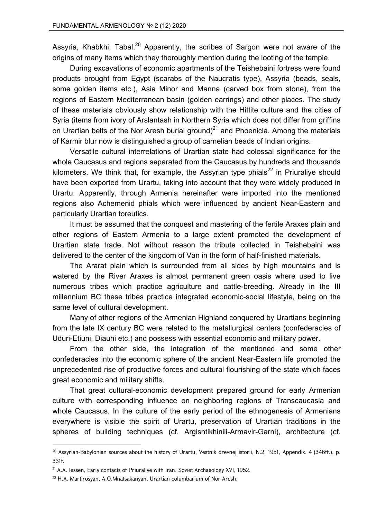Assyria, Khabkhi, Tabal.<sup>20</sup> Apparently, the scribes of Sargon were not aware of the origins of many items which they thoroughly mention during the looting of the temple.

During excavations of economic apartments of the Teishebaini fortress were found products brought from Egypt (scarabs of the Naucratis type), Assyria (beads, seals, some golden items etc.), Asia Minor and Manna (carved box from stone), from the regions of Eastern Mediterranean basin (golden earrings) and other places. The study of these materials obviously show relationship with the Hittite culture and the cities of Syria (items from ivory of Arslantash in Northern Syria which does not differ from griffins on Urartian belts of the Nor Aresh burial ground)<sup>21</sup> and Phoenicia. Among the materials of Karmir blur now is distinguished a group of carnelian beads of Indian origins.

Versatile cultural interrelations of Urartian state had colossal significance for the whole Caucasus and regions separated from the Caucasus by hundreds and thousands kilometers. We think that, for example, the Assyrian type phials<sup>22</sup> in Priuraliye should have been exported from Urartu, taking into account that they were widely produced in Urartu. Apparently, through Armenia hereinafter were imported into the mentioned regions also Achemenid phials which were influenced by ancient Near-Eastern and particularly Urartian toreutics.

It must be assumed that the conquest and mastering of the fertile Araxes plain and other regions of Eastern Armenia to a large extent promoted the development of Urartian state trade. Not without reason the tribute collected in Teishebaini was delivered to the center of the kingdom of Van in the form of half-finished materials.

The Ararat plain which is surrounded from all sides by high mountains and is watered by the River Araxes is almost permanent green oasis where used to live numerous tribes which practice agriculture and cattle-breeding. Already in the III millennium BC these tribes practice integrated economic-social lifestyle, being on the same level of cultural development.

Many of other regions of the Armenian Highland conquered by Urartians beginning from the late IX century BC were related to the metallurgical centers (confederacies of Uduri-Etiuni, Diauhi etc.) and possess with essential economic and military power.

From the other side, the integration of the mentioned and some other confederacies into the economic sphere of the ancient Near-Eastern life promoted the unprecedented rise of productive forces and cultural flourishing of the state which faces great economic and military shifts.

That great cultural-economic development prepared ground for early Armenian culture with corresponding influence on neighboring regions of Transcaucasia and whole Caucasus. In the culture of the early period of the ethnogenesis of Armenians everywhere is visible the spirit of Urartu, preservation of Urartian traditions in the spheres of building techniques (cf. Argishtikhinili-Armavir-Garni), architecture (cf.

<sup>&</sup>lt;sup>20</sup> Assyrian-Babylonian sources about the history of Urartu, Vestnik drevnej istorii, N.2, 1951, Appendix. 4 (346ff.), p. 331f.

<sup>&</sup>lt;sup>21</sup> A.A. Iessen, Early contacts of Priuraliye with Iran, Soviet Archaeology XVI, 1952.

<sup>22</sup> H.A. Martirosyan, A.O.Mnatsakanyan, Urartian columbarium of Nor Aresh.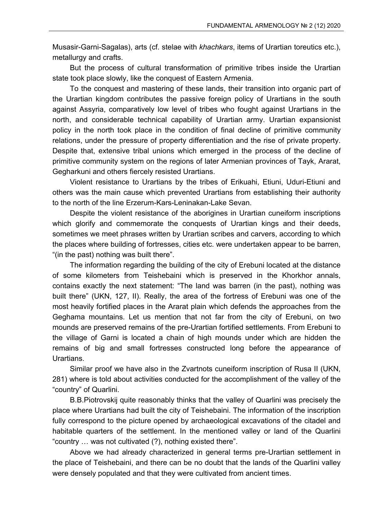Musasir-Garni-Sagalas), arts (cf. stelae with *khachkars*, items of Urartian toreutics etc.), metallurgy and crafts.

But the process of cultural transformation of primitive tribes inside the Urartian state took place slowly, like the conquest of Eastern Armenia.

To the conquest and mastering of these lands, their transition into organic part of the Urartian kingdom contributes the passive foreign policy of Urartians in the south against Assyria, comparatively low level of tribes who fought against Urartians in the north, and considerable technical capability of Urartian army. Urartian expansionist policy in the north took place in the condition of final decline of primitive community relations, under the pressure of property differentiation and the rise of private property. Despite that, extensive tribal unions which emerged in the process of the decline of primitive community system on the regions of later Armenian provinces of Tayk, Ararat, Gegharkuni and others fiercely resisted Urartians.

Violent resistance to Urartians by the tribes of Erikuahi, Etiuni, Uduri-Etiuni and others was the main cause which prevented Urartians from establishing their authority to the north of the line Erzerum-Kars-Leninakan-Lake Sevan.

Despite the violent resistance of the aborigines in Urartian cuneiform inscriptions which glorify and commemorate the conquests of Urartian kings and their deeds, sometimes we meet phrases written by Urartian scribes and carvers, according to which the places where building of fortresses, cities etc. were undertaken appear to be barren, "(in the past) nothing was built there".

The information regarding the building of the city of Erebuni located at the distance of some kilometers from Teishebaini which is preserved in the Khorkhor annals, contains exactly the next statement: "The land was barren (in the past), nothing was built there" (UKN, 127, II). Really, the area of the fortress of Erebuni was one of the most heavily fortified places in the Ararat plain which defends the approaches from the Geghama mountains. Let us mention that not far from the city of Erebuni, on two mounds are preserved remains of the pre-Urartian fortified settlements. From Erebuni to the village of Garni is located a chain of high mounds under which are hidden the remains of big and small fortresses constructed long before the appearance of Urartians.

Similar proof we have also in the Zvartnots cuneiform inscription of Rusa II (UKN, 281) where is told about activities conducted for the accomplishment of the valley of the "country" of Quarlini.

B.B.Piotrovskij quite reasonably thinks that the valley of Quarlini was precisely the place where Urartians had built the city of Teishebaini. The information of the inscription fully correspond to the picture opened by archaeological excavations of the citadel and habitable quarters of the settlement. In the mentioned valley or land of the Quarlini "country … was not cultivated (?), nothing existed there".

Above we had already characterized in general terms pre-Urartian settlement in the place of Teishebaini, and there can be no doubt that the lands of the Quarlini valley were densely populated and that they were cultivated from ancient times.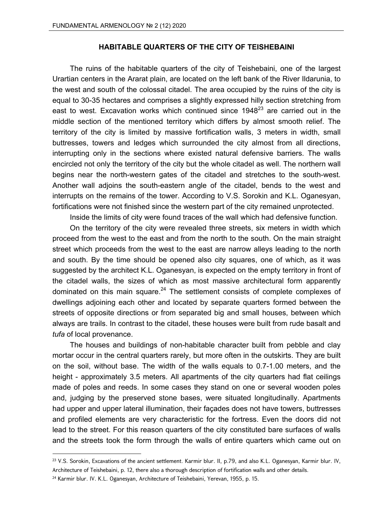## **HABITABLE QUARTERS OF THE CITY OF TEISHEBAINI**

The ruins of the habitable quarters of the city of Teishebaini, one of the largest Urartian centers in the Ararat plain, are located on the left bank of the River Ildarunia, to the west and south of the colossal citadel. The area occupied by the ruins of the city is equal to 30-35 hectares and comprises a slightly expressed hilly section stretching from east to west. Excavation works which continued since  $1948^{23}$  are carried out in the middle section of the mentioned territory which differs by almost smooth relief. The territory of the city is limited by massive fortification walls, 3 meters in width, small buttresses, towers and ledges which surrounded the city almost from all directions, interrupting only in the sections where existed natural defensive barriers. The walls encircled not only the territory of the city but the whole citadel as well. The northern wall begins near the north-western gates of the citadel and stretches to the south-west. Another wall adjoins the south-eastern angle of the citadel, bends to the west and interrupts on the remains of the tower. According to V.S. Sorokin and K.L. Oganesyan, fortifications were not finished since the western part of the city remained unprotected.

Inside the limits of city were found traces of the wall which had defensive function.

On the territory of the city were revealed three streets, six meters in width which proceed from the west to the east and from the north to the south. On the main straight street which proceeds from the west to the east are narrow alleys leading to the north and south. By the time should be opened also city squares, one of which, as it was suggested by the architect K.L. Oganesyan, is expected on the empty territory in front of the citadel walls, the sizes of which as most massive architectural form apparently dominated on this main square. $24$  The settlement consists of complete complexes of dwellings adjoining each other and located by separate quarters formed between the streets of opposite directions or from separated big and small houses, between which always are trails. In contrast to the citadel, these houses were built from rude basalt and *tufa* of local provenance.

The houses and buildings of non-habitable character built from pebble and clay mortar occur in the central quarters rarely, but more often in the outskirts. They are built on the soil, without base. The width of the walls equals to 0.7-1.00 meters, and the height - approximately 3.5 meters. All apartments of the city quarters had flat ceilings made of poles and reeds. In some cases they stand on one or several wooden poles and, judging by the preserved stone bases, were situated longitudinally. Apartments had upper and upper lateral illumination, their façades does not have towers, buttresses and profiled elements are very characteristic for the fortress. Even the doors did not lead to the street. For this reason quarters of the city constituted bare surfaces of walls and the streets took the form through the walls of entire quarters which came out on

<sup>&</sup>lt;sup>23</sup> V.S. Sorokin, Excavations of the ancient settlement. Karmir blur. II, p.79, and also K.L. Oganesyan, Karmir blur. IV, Architecture of Teishebaini, p. 12, there also a thorough description of fortification walls and other details.

<sup>&</sup>lt;sup>24</sup> Karmir blur. IV. K.L. Oganesyan, Architecture of Teishebaini, Yerevan, 1955, p. 15.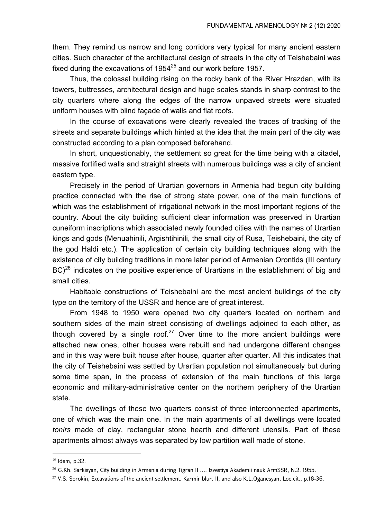them. They remind us narrow and long corridors very typical for many ancient eastern cities. Such character of the architectural design of streets in the city of Teishebaini was fixed during the excavations of  $1954^{25}$  and our work before 1957.

Thus, the colossal building rising on the rocky bank of the River Hrazdan, with its towers, buttresses, architectural design and huge scales stands in sharp contrast to the city quarters where along the edges of the narrow unpaved streets were situated uniform houses with blind façade of walls and flat roofs.

In the course of excavations were clearly revealed the traces of tracking of the streets and separate buildings which hinted at the idea that the main part of the city was constructed according to a plan composed beforehand.

In short, unquestionably, the settlement so great for the time being with a citadel, massive fortified walls and straight streets with numerous buildings was a city of ancient eastern type.

Precisely in the period of Urartian governors in Armenia had begun city building practice connected with the rise of strong state power, one of the main functions of which was the establishment of irrigational network in the most important regions of the country. About the city building sufficient clear information was preserved in Urartian cuneiform inscriptions which associated newly founded cities with the names of Urartian kings and gods (Menuahinili, Argishtihinili, the small city of Rusa, Teishebaini, the city of the god Haldi etc.). The application of certain city building techniques along with the existence of city building traditions in more later period of Armenian Orontids (III century  $BC)^{26}$  indicates on the positive experience of Urartians in the establishment of big and small cities.

Habitable constructions of Teishebaini are the most ancient buildings of the city type on the territory of the USSR and hence are of great interest.

From 1948 to 1950 were opened two city quarters located on northern and southern sides of the main street consisting of dwellings adjoined to each other, as though covered by a single roof.<sup>27</sup> Over time to the more ancient buildings were attached new ones, other houses were rebuilt and had undergone different changes and in this way were built house after house, quarter after quarter. All this indicates that the city of Teishebaini was settled by Urartian population not simultaneously but during some time span, in the process of extension of the main functions of this large economic and military-administrative center on the northern periphery of the Urartian state.

The dwellings of these two quarters consist of three interconnected apartments, one of which was the main one. In the main apartments of all dwellings were located *tonirs* made of clay, rectangular stone hearth and different utensils. Part of these apartments almost always was separated by low partition wall made of stone.

<sup>25</sup> Idem, p.32.

<sup>&</sup>lt;sup>26</sup> G.Kh. Sarkisyan, City building in Armenia during Tigran II ..., Izvestiya Akademii nauk ArmSSR, N.2, 1955.

<sup>27</sup> V.S. Sorokin, Excavations of the ancient settlement. Karmir blur. II, and also K.L.Oganesyan, Loc.cit., p.18-36.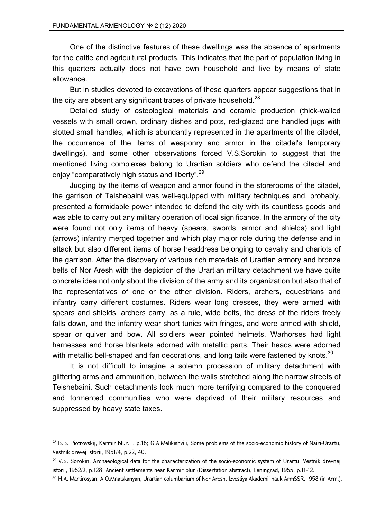One of the distinctive features of these dwellings was the absence of apartments for the cattle and agricultural products. This indicates that the part of population living in this quarters actually does not have own household and live by means of state allowance.

But in studies devoted to excavations of these quarters appear suggestions that in the city are absent any significant traces of private household. $^{28}$ 

Detailed study of osteological materials and ceramic production (thick-walled vessels with small crown, ordinary dishes and pots, red-glazed one handled jugs with slotted small handles, which is abundantly represented in the apartments of the citadel, the occurrence of the items of weaponry and armor in the citadel's temporary dwellings), and some other observations forced V.S.Sorokin to suggest that the mentioned living complexes belong to Urartian soldiers who defend the citadel and enjoy "comparatively high status and liberty".<sup>29</sup>

Judging by the items of weapon and armor found in the storerooms of the citadel, the garrison of Teishebaini was well-equipped with military techniques and, probably, presented a formidable power intended to defend the city with its countless goods and was able to carry out any military operation of local significance. In the armory of the city were found not only items of heavy (spears, swords, armor and shields) and light (arrows) infantry merged together and which play major role during the defense and in attack but also different items of horse headdress belonging to cavalry and chariots of the garrison. After the discovery of various rich materials of Urartian armory and bronze belts of Nor Aresh with the depiction of the Urartian military detachment we have quite concrete idea not only about the division of the army and its organization but also that of the representatives of one or the other division. Riders, archers, equestrians and infantry carry different costumes. Riders wear long dresses, they were armed with spears and shields, archers carry, as a rule, wide belts, the dress of the riders freely falls down, and the infantry wear short tunics with fringes, and were armed with shield, spear or quiver and bow. All soldiers wear pointed helmets. Warhorses had light harnesses and horse blankets adorned with metallic parts. Their heads were adorned with metallic bell-shaped and fan decorations, and long tails were fastened by knots. $30$ 

It is not difficult to imagine a solemn procession of military detachment with glittering arms and ammunition, between the walls stretched along the narrow streets of Teishebaini. Such detachments look much more terrifying compared to the conquered and tormented communities who were deprived of their military resources and suppressed by heavy state taxes.

<sup>&</sup>lt;sup>28</sup> B.B. Piotrovskij, Karmir blur. I, p.18; G.A.Melikishvili, Some problems of the socio-economic history of Nairi-Urartu. Vestnik drevej istorii, 1951/4, p.22, 40.

<sup>&</sup>lt;sup>29</sup> V.S. Sorokin, Archaeological data for the characterization of the socio-economic system of Urartu, Vestnik drevnej istorii, 1952/2, p.128; Ancient settlements near Karmir blur (Dissertation abstract), Leningrad, 1955, p.11-12.

<sup>30</sup> H.A. Martirosyan, A.O.Mnatskanyan, Urartian columbarium of Nor Aresh, Izvestiya Akademii nauk ArmSSR, 1958 (in Arm.).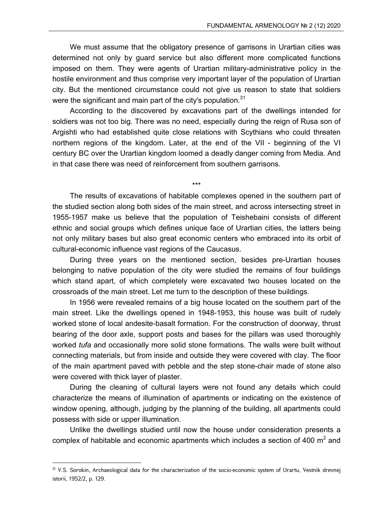We must assume that the obligatory presence of garrisons in Urartian cities was determined not only by guard service but also different more complicated functions imposed on them. They were agents of Urartian military-administrative policy in the hostile environment and thus comprise very important layer of the population of Urartian city. But the mentioned circumstance could not give us reason to state that soldiers were the significant and main part of the city's population.<sup>31</sup>

According to the discovered by excavations part of the dwellings intended for soldiers was not too big. There was no need, especially during the reign of Rusa son of Argishti who had established quite close relations with Scythians who could threaten northern regions of the kingdom. Later, at the end of the VII - beginning of the VI century BC over the Urartian kingdom loomed a deadly danger coming from Media. And in that case there was need of reinforcement from southern garrisons.

\*\*\*

The results of excavations of habitable complexes opened in the southern part of the studied section along both sides of the main street, and across intersecting street in 1955-1957 make us believe that the population of Teishebaini consists of different ethnic and social groups which defines unique face of Urartian cities, the latters being not only military bases but also great economic centers who embraced into its orbit of cultural-economic influence vast regions of the Caucasus.

During three years on the mentioned section, besides pre-Urartian houses belonging to native population of the city were studied the remains of four buildings which stand apart, of which completely were excavated two houses located on the crossroads of the main street. Let me turn to the description of these buildings.

In 1956 were revealed remains of a big house located on the southern part of the main street. Like the dwellings opened in 1948-1953, this house was built of rudely worked stone of local andesite-basalt formation. For the construction of doorway, thrust bearing of the door axle, support posts and bases for the pillars was used thoroughly worked *tufa* and occasionally more solid stone formations. The walls were built without connecting materials, but from inside and outside they were covered with clay. The floor of the main apartment paved with pebble and the step stone-chair made of stone also were covered with thick layer of plaster.

During the cleaning of cultural layers were not found any details which could characterize the means of illumination of apartments or indicating on the existence of window opening, although, judging by the planning of the building, all apartments could possess with side or upper illumination.

Unlike the dwellings studied until now the house under consideration presents a complex of habitable and economic apartments which includes a section of 400  $m^2$  and

<sup>&</sup>lt;sup>31</sup> V.S. Sorokin, Archaeological data for the characterization of the socio-economic system of Urartu, Vestnik drevnej istorii, 1952/2, p. 129.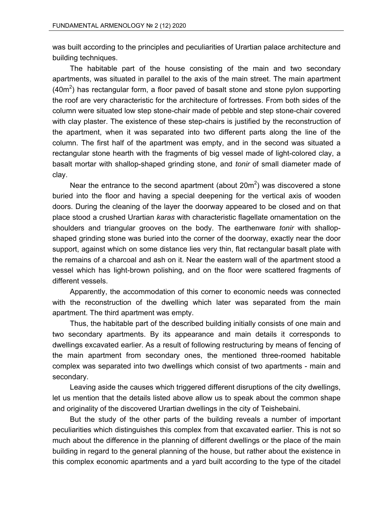was built according to the principles and peculiarities of Urartian palace architecture and building techniques.

The habitable part of the house consisting of the main and two secondary apartments, was situated in parallel to the axis of the main street. The main apartment (40 $\text{m}^2$ ) has rectangular form, a floor paved of basalt stone and stone pylon supporting the roof are very characteristic for the architecture of fortresses. From both sides of the column were situated low step stone-chair made of pebble and step stone-chair covered with clay plaster. The existence of these step-chairs is justified by the reconstruction of the apartment, when it was separated into two different parts along the line of the column. The first half of the apartment was empty, and in the second was situated a rectangular stone hearth with the fragments of big vessel made of light-colored clay, a basalt mortar with shallop-shaped grinding stone, and *tonir* of small diameter made of clay.

Near the entrance to the second apartment (about 20m<sup>2</sup>) was discovered a stone buried into the floor and having a special deepening for the vertical axis of wooden doors. During the cleaning of the layer the doorway appeared to be closed and on that place stood a crushed Urartian *karas* with characteristic flagellate ornamentation on the shoulders and triangular grooves on the body. The earthenware *tonir* with shallopshaped grinding stone was buried into the corner of the doorway, exactly near the door support, against which on some distance lies very thin, flat rectangular basalt plate with the remains of a charcoal and ash on it. Near the eastern wall of the apartment stood a vessel which has light-brown polishing, and on the floor were scattered fragments of different vessels.

Apparently, the accommodation of this corner to economic needs was connected with the reconstruction of the dwelling which later was separated from the main apartment. The third apartment was empty.

Thus, the habitable part of the described building initially consists of one main and two secondary apartments. By its appearance and main details it corresponds to dwellings excavated earlier. As a result of following restructuring by means of fencing of the main apartment from secondary ones, the mentioned three-roomed habitable complex was separated into two dwellings which consist of two apartments - main and secondary.

Leaving aside the causes which triggered different disruptions of the city dwellings, let us mention that the details listed above allow us to speak about the common shape and originality of the discovered Urartian dwellings in the city of Teishebaini.

But the study of the other parts of the building reveals a number of important peculiarities which distinguishes this complex from that excavated earlier. This is not so much about the difference in the planning of different dwellings or the place of the main building in regard to the general planning of the house, but rather about the existence in this complex economic apartments and a yard built according to the type of the citadel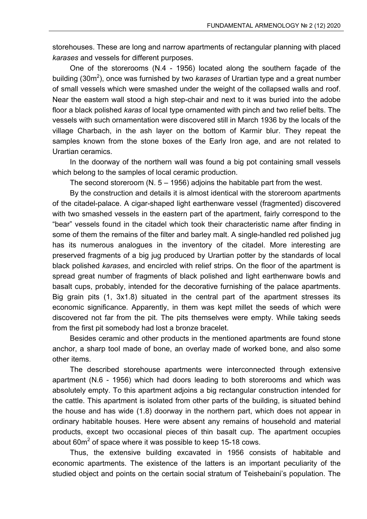storehouses. These are long and narrow apartments of rectangular planning with placed *karases* and vessels for different purposes.

One of the storerooms (N.4 - 1956) located along the southern façade of the building (30m<sup>2</sup>), once was furnished by two *karases* of Urartian type and a great number of small vessels which were smashed under the weight of the collapsed walls and roof. Near the eastern wall stood a high step-chair and next to it was buried into the adobe floor a black polished *karas* of local type ornamented with pinch and two relief belts. The vessels with such ornamentation were discovered still in March 1936 by the locals of the village Charbach, in the ash layer on the bottom of Karmir blur. They repeat the samples known from the stone boxes of the Early Iron age, and are not related to Urartian ceramics.

In the doorway of the northern wall was found a big pot containing small vessels which belong to the samples of local ceramic production.

The second storeroom (N.  $5 - 1956$ ) adjoins the habitable part from the west.

By the construction and details it is almost identical with the storeroom apartments of the citadel-palace. A cigar-shaped light earthenware vessel (fragmented) discovered with two smashed vessels in the eastern part of the apartment, fairly correspond to the "bear" vessels found in the citadel which took their characteristic name after finding in some of them the remains of the filter and barley malt. A single-handled red polished jug has its numerous analogues in the inventory of the citadel. More interesting are preserved fragments of a big jug produced by Urartian potter by the standards of local black polished *karases*, and encircled with relief strips. On the floor of the apartment is spread great number of fragments of black polished and light earthenware bowls and basalt cups, probably, intended for the decorative furnishing of the palace apartments. Big grain pits (1, 3x1.8) situated in the central part of the apartment stresses its economic significance. Apparently, in them was kept millet the seeds of which were discovered not far from the pit. The pits themselves were empty. While taking seeds from the first pit somebody had lost a bronze bracelet.

Besides ceramic and other products in the mentioned apartments are found stone anchor, a sharp tool made of bone, an overlay made of worked bone, and also some other items.

The described storehouse apartments were interconnected through extensive apartment (N.6 - 1956) which had doors leading to both storerooms and which was absolutely empty. To this apartment adjoins a big rectangular construction intended for the cattle. This apartment is isolated from other parts of the building, is situated behind the house and has wide (1.8) doorway in the northern part, which does not appear in ordinary habitable houses. Here were absent any remains of household and material products, except two occasional pieces of thin basalt cup. The apartment occupies about 60 $m^2$  of space where it was possible to keep 15-18 cows.

Thus, the extensive building excavated in 1956 consists of habitable and economic apartments. The existence of the latters is an important peculiarity of the studied object and points on the certain social stratum of Teishebaini's population. The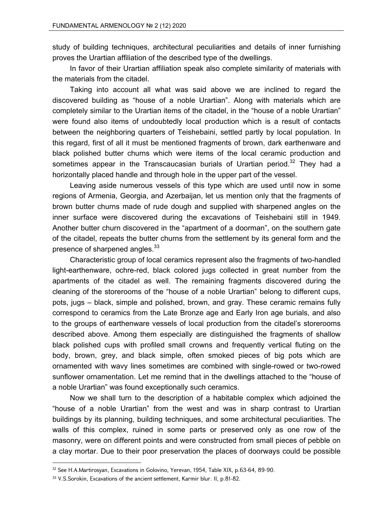study of building techniques, architectural peculiarities and details of inner furnishing proves the Urartian affiliation of the described type of the dwellings.

In favor of their Urartian affiliation speak also complete similarity of materials with the materials from the citadel.

Taking into account all what was said above we are inclined to regard the discovered building as "house of a noble Urartian". Along with materials which are completely similar to the Urartian items of the citadel, in the "house of a noble Urartian" were found also items of undoubtedly local production which is a result of contacts between the neighboring quarters of Teishebaini, settled partly by local population. In this regard, first of all it must be mentioned fragments of brown, dark earthenware and black polished butter churns which were items of the local ceramic production and sometimes appear in the Transcaucasian burials of Urartian period.<sup>32</sup> They had a horizontally placed handle and through hole in the upper part of the vessel.

Leaving aside numerous vessels of this type which are used until now in some regions of Armenia, Georgia, and Azerbaijan, let us mention only that the fragments of brown butter churns made of rude dough and supplied with sharpened angles on the inner surface were discovered during the excavations of Teishebaini still in 1949. Another butter churn discovered in the "apartment of a doorman", on the southern gate of the citadel, repeats the butter churns from the settlement by its general form and the presence of sharpened angles.<sup>33</sup>

Characteristic group of local ceramics represent also the fragments of two-handled light-earthenware, ochre-red, black colored jugs collected in great number from the apartments of the citadel as well. The remaining fragments discovered during the cleaning of the storerooms of the "house of a noble Urartian" belong to different cups, pots, jugs – black, simple and polished, brown, and gray. These ceramic remains fully correspond to ceramics from the Late Bronze age and Early Iron age burials, and also to the groups of earthenware vessels of local production from the citadel's storerooms described above. Among them especially are distinguished the fragments of shallow black polished cups with profiled small crowns and frequently vertical fluting on the body, brown, grey, and black simple, often smoked pieces of big pots which are ornamented with wavy lines sometimes are combined with single-rowed or two-rowed sunflower ornamentation. Let me remind that in the dwellings attached to the "house of a noble Urartian" was found exceptionally such ceramics.

Now we shall turn to the description of a habitable complex which adjoined the "house of a noble Urartian" from the west and was in sharp contrast to Urartian buildings by its planning, building techniques, and some architectural peculiarities. The walls of this complex, ruined in some parts or preserved only as one row of the masonry, were on different points and were constructed from small pieces of pebble on a clay mortar. Due to their poor preservation the places of doorways could be possible

 $32$  See H.A.Martirosyan, Excavations in Golovino, Yerevan, 1954, Table XIX, p.63-64, 89-90.

<sup>33</sup> V.S.Sorokin, Excavations of the ancient settlement, Karmir blur. II, p.81-82.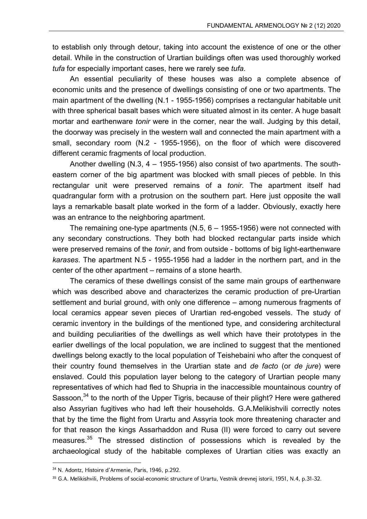to establish only through detour, taking into account the existence of one or the other detail. While in the construction of Urartian buildings often was used thoroughly worked *tufa* for especially important cases, here we rarely see *tufa*.

An essential peculiarity of these houses was also a complete absence of economic units and the presence of dwellings consisting of one or two apartments. The main apartment of the dwelling (N.1 - 1955-1956) comprises a rectangular habitable unit with three spherical basalt bases which were situated almost in its center. A huge basalt mortar and earthenware *tonir* were in the corner, near the wall. Judging by this detail, the doorway was precisely in the western wall and connected the main apartment with a small, secondary room (N.2 - 1955-1956), on the floor of which were discovered different ceramic fragments of local production.

Another dwelling (N.3, 4 – 1955-1956) also consist of two apartments. The southeastern corner of the big apartment was blocked with small pieces of pebble. In this rectangular unit were preserved remains of a *tonir*. The apartment itself had quadrangular form with a protrusion on the southern part. Here just opposite the wall lays a remarkable basalt plate worked in the form of a ladder. Obviously, exactly here was an entrance to the neighboring apartment.

The remaining one-type apartments (N.5, 6 – 1955-1956) were not connected with any secondary constructions. They both had blocked rectangular parts inside which were preserved remains of the *tonir*, and from outside - bottoms of big light-earthenware *karases*. The apartment N.5 - 1955-1956 had a ladder in the northern part, and in the center of the other apartment – remains of a stone hearth.

The ceramics of these dwellings consist of the same main groups of earthenware which was described above and characterizes the ceramic production of pre-Urartian settlement and burial ground, with only one difference – among numerous fragments of local ceramics appear seven pieces of Urartian red-engobed vessels. The study of ceramic inventory in the buildings of the mentioned type, and considering architectural and building peculiarities of the dwellings as well which have their prototypes in the earlier dwellings of the local population, we are inclined to suggest that the mentioned dwellings belong exactly to the local population of Teishebaini who after the conquest of their country found themselves in the Urartian state and *de facto* (or *de jure*) were enslaved. Could this population layer belong to the category of Urartian people many representatives of which had fled to Shupria in the inaccessible mountainous country of Sassoon,<sup>34</sup> to the north of the Upper Tigris, because of their plight? Here were gathered also Assyrian fugitives who had left their households. G.A.Melikishvili correctly notes that by the time the flight from Urartu and Assyria took more threatening character and for that reason the kings Assarhaddon and Rusa (II) were forced to carry out severe measures.<sup>35</sup> The stressed distinction of possessions which is revealed by the archaeological study of the habitable complexes of Urartian cities was exactly an

<sup>34</sup> N. Adontz, Histoire d'Armenie, Paris, 1946, p.292.

<sup>35</sup> G.A. Melikishvili, Problems of social-economic structure of Urartu, Vestnik drevnej istorii, 1951, N.4, p.31-32.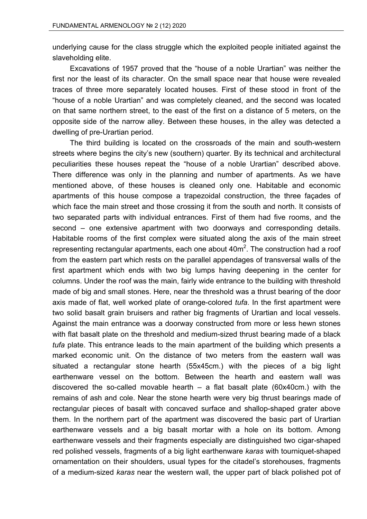underlying cause for the class struggle which the exploited people initiated against the slaveholding elite.

Excavations of 1957 proved that the "house of a noble Urartian" was neither the first nor the least of its character. On the small space near that house were revealed traces of three more separately located houses. First of these stood in front of the "house of a noble Urartian" and was completely cleaned, and the second was located on that same northern street, to the east of the first on a distance of 5 meters, on the opposite side of the narrow alley. Between these houses, in the alley was detected a dwelling of pre-Urartian period.

The third building is located on the crossroads of the main and south-western streets where begins the city's new (southern) quarter. By its technical and architectural peculiarities these houses repeat the "house of a noble Urartian" described above. There difference was only in the planning and number of apartments. As we have mentioned above, of these houses is cleaned only one. Habitable and economic apartments of this house compose a trapezoidal construction, the three façades of which face the main street and those crossing it from the south and north. It consists of two separated parts with individual entrances. First of them had five rooms, and the second – one extensive apartment with two doorways and corresponding details. Habitable rooms of the first complex were situated along the axis of the main street representing rectangular apartments, each one about 40 $\text{m}^2$ . The construction had a roof from the eastern part which rests on the parallel appendages of transversal walls of the first apartment which ends with two big lumps having deepening in the center for columns. Under the roof was the main, fairly wide entrance to the building with threshold made of big and small stones. Here, near the threshold was a thrust bearing of the door axis made of flat, well worked plate of orange-colored *tufa*. In the first apartment were two solid basalt grain bruisers and rather big fragments of Urartian and local vessels. Against the main entrance was a doorway constructed from more or less hewn stones with flat basalt plate on the threshold and medium-sized thrust bearing made of a black *tufa* plate. This entrance leads to the main apartment of the building which presents a marked economic unit. On the distance of two meters from the eastern wall was situated a rectangular stone hearth (55x45cm.) with the pieces of a big light earthenware vessel on the bottom. Between the hearth and eastern wall was discovered the so-called movable hearth – a flat basalt plate (60x40cm.) with the remains of ash and cole. Near the stone hearth were very big thrust bearings made of rectangular pieces of basalt with concaved surface and shallop-shaped grater above them. In the northern part of the apartment was discovered the basic part of Urartian earthenware vessels and a big basalt mortar with a hole on its bottom. Among earthenware vessels and their fragments especially are distinguished two cigar-shaped red polished vessels, fragments of a big light earthenware *karas* with tourniquet-shaped ornamentation on their shoulders, usual types for the citadel's storehouses, fragments of a medium-sized *karas* near the western wall, the upper part of black polished pot of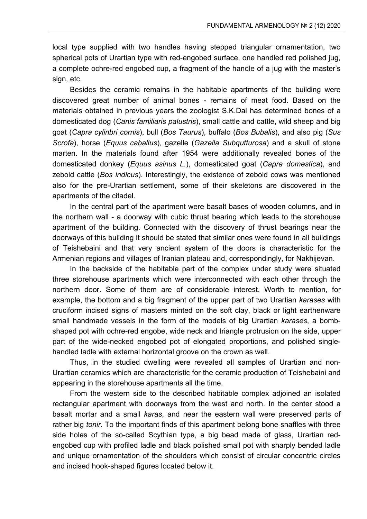local type supplied with two handles having stepped triangular ornamentation, two spherical pots of Urartian type with red-engobed surface, one handled red polished jug, a complete ochre-red engobed cup, a fragment of the handle of a jug with the master's sign, etc.

Besides the ceramic remains in the habitable apartments of the building were discovered great number of animal bones - remains of meat food. Based on the materials obtained in previous years the zoologist S.K.Dal has determined bones of a domesticated dog (*Canis familiaris palustris*), small cattle and cattle, wild sheep and big goat (*Capra cylinbri cornis*), bull (*Bos Taurus*), buffalo (*Bos Bubalis*), and also pig (*Sus Scrofa*), horse (*Equus caballus*), gazelle (*Gazella Subqutturosa*) and a skull of stone marten. In the materials found after 1954 were additionally revealed bones of the domesticated donkey (*Equus asinus L.*), domesticated goat (*Capra domestica*), and zeboid cattle (*Bos indicus*). Interestingly, the existence of zeboid cows was mentioned also for the pre-Urartian settlement, some of their skeletons are discovered in the apartments of the citadel.

In the central part of the apartment were basalt bases of wooden columns, and in the northern wall - a doorway with cubic thrust bearing which leads to the storehouse apartment of the building. Connected with the discovery of thrust bearings near the doorways of this building it should be stated that similar ones were found in all buildings of Teishebaini and that very ancient system of the doors is characteristic for the Armenian regions and villages of Iranian plateau and, correspondingly, for Nakhijevan.

In the backside of the habitable part of the complex under study were situated three storehouse apartments which were interconnected with each other through the northern door. Some of them are of considerable interest. Worth to mention, for example, the bottom and a big fragment of the upper part of two Urartian *karases* with cruciform incised signs of masters minted on the soft clay, black or light earthenware small handmade vessels in the form of the models of big Urartian *karases*, a bombshaped pot with ochre-red engobe, wide neck and triangle protrusion on the side, upper part of the wide-necked engobed pot of elongated proportions, and polished singlehandled ladle with external horizontal groove on the crown as well.

Thus, in the studied dwelling were revealed all samples of Urartian and non-Urartian ceramics which are characteristic for the ceramic production of Teishebaini and appearing in the storehouse apartments all the time.

From the western side to the described habitable complex adjoined an isolated rectangular apartment with doorways from the west and north. In the center stood a basalt mortar and a small *karas*, and near the eastern wall were preserved parts of rather big *tonir*. To the important finds of this apartment belong bone snaffles with three side holes of the so-called Scythian type, a big bead made of glass, Urartian redengobed cup with profiled ladle and black polished small pot with sharply bended ladle and unique ornamentation of the shoulders which consist of circular concentric circles and incised hook-shaped figures located below it.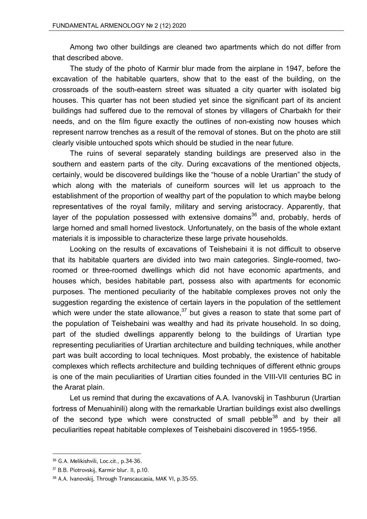Among two other buildings are cleaned two apartments which do not differ from that described above.

The study of the photo of Karmir blur made from the airplane in 1947, before the excavation of the habitable quarters, show that to the east of the building, on the crossroads of the south-eastern street was situated a city quarter with isolated big houses. This quarter has not been studied yet since the significant part of its ancient buildings had suffered due to the removal of stones by villagers of Charbakh for their needs, and on the film figure exactly the outlines of non-existing now houses which represent narrow trenches as a result of the removal of stones. But on the photo are still clearly visible untouched spots which should be studied in the near future.

The ruins of several separately standing buildings are preserved also in the southern and eastern parts of the city. During excavations of the mentioned objects, certainly, would be discovered buildings like the "house of a noble Urartian" the study of which along with the materials of cuneiform sources will let us approach to the establishment of the proportion of wealthy part of the population to which maybe belong representatives of the royal family, military and serving aristocracy. Apparently, that layer of the population possessed with extensive domains<sup>36</sup> and, probably, herds of large horned and small horned livestock. Unfortunately, on the basis of the whole extant materials it is impossible to characterize these large private households.

Looking on the results of excavations of Teishebaini it is not difficult to observe that its habitable quarters are divided into two main categories. Single-roomed, tworoomed or three-roomed dwellings which did not have economic apartments, and houses which, besides habitable part, possess also with apartments for economic purposes. The mentioned peculiarity of the habitable complexes proves not only the suggestion regarding the existence of certain layers in the population of the settlement which were under the state allowance,  $37$  but gives a reason to state that some part of the population of Teishebaini was wealthy and had its private household. In so doing, part of the studied dwellings apparently belong to the buildings of Urartian type representing peculiarities of Urartian architecture and building techniques, while another part was built according to local techniques. Most probably, the existence of habitable complexes which reflects architecture and building techniques of different ethnic groups is one of the main peculiarities of Urartian cities founded in the VIII-VII centuries BC in the Ararat plain.

Let us remind that during the excavations of A.A. Ivanovskij in Tashburun (Urartian fortress of Menuahinili) along with the remarkable Urartian buildings exist also dwellings of the second type which were constructed of small pebble $38$  and by their all peculiarities repeat habitable complexes of Teishebaini discovered in 1955-1956.

 36 G.A. Melikishvili, Loc.cit., p.34-36.

<sup>37</sup> B.B. Piotrovskij, Karmir blur. II, p.10.

<sup>38</sup> A.A. Ivanovskij, Through Transcaucasia, MAK VI, p.35-55.